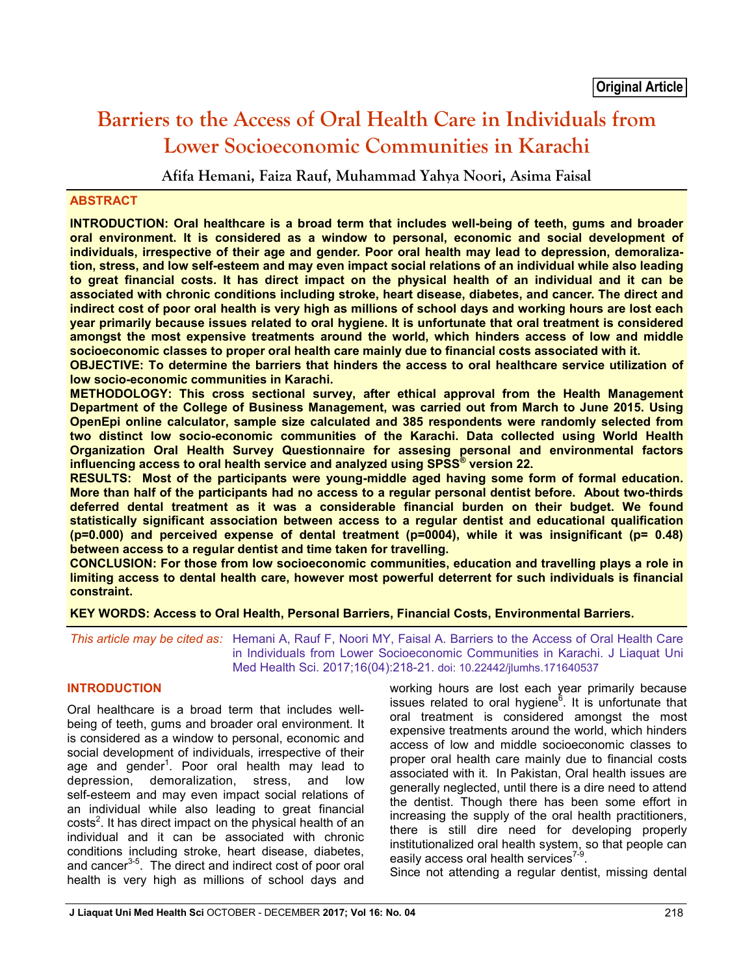# **Barriers to the Access of Oral Health Care in Individuals from Lower Socioeconomic Communities in Karachi**

**Afifa Hemani, Faiza Rauf, Muhammad Yahya Noori, Asima Faisal**

## **ABSTRACT**

**INTRODUCTION: Oral healthcare is a broad term that includes well-being of teeth, gums and broader oral environment. It is considered as a window to personal, economic and social development of individuals, irrespective of their age and gender. Poor oral health may lead to depression, demoralization, stress, and low self-esteem and may even impact social relations of an individual while also leading to great financial costs. It has direct impact on the physical health of an individual and it can be associated with chronic conditions including stroke, heart disease, diabetes, and cancer. The direct and indirect cost of poor oral health is very high as millions of school days and working hours are lost each year primarily because issues related to oral hygiene. It is unfortunate that oral treatment is considered amongst the most expensive treatments around the world, which hinders access of low and middle socioeconomic classes to proper oral health care mainly due to financial costs associated with it.** 

**OBJECTIVE: To determine the barriers that hinders the access to oral healthcare service utilization of low socio-economic communities in Karachi.** 

**METHODOLOGY: This cross sectional survey, after ethical approval from the Health Management Department of the College of Business Management, was carried out from March to June 2015. Using OpenEpi online calculator, sample size calculated and 385 respondents were randomly selected from two distinct low socio-economic communities of the Karachi. Data collected using World Health Organization Oral Health Survey Questionnaire for assesing personal and environmental factors influencing access to oral health service and analyzed using SPSS® version 22.** 

**RESULTS: Most of the participants were young-middle aged having some form of formal education. More than half of the participants had no access to a regular personal dentist before. About two-thirds deferred dental treatment as it was a considerable financial burden on their budget. We found statistically significant association between access to a regular dentist and educational qualification (p=0.000) and perceived expense of dental treatment (p=0004), while it was insignificant (p= 0.48) between access to a regular dentist and time taken for travelling.** 

**CONCLUSION: For those from low socioeconomic communities, education and travelling plays a role in limiting access to dental health care, however most powerful deterrent for such individuals is financial constraint.**

**KEY WORDS: Access to Oral Health, Personal Barriers, Financial Costs, Environmental Barriers.**

*This article may be cited as:* Hemani A, Rauf F, Noori MY, Faisal A. Barriers to the Access of Oral Health Care in Individuals from Lower Socioeconomic Communities in Karachi. J Liaquat Uni Med Health Sci. 2017;16(04):218-21. doi: 10.22442/jlumhs.171640537

## **INTRODUCTION**

Oral healthcare is a broad term that includes wellbeing of teeth, gums and broader oral environment. It is considered as a window to personal, economic and social development of individuals, irrespective of their age and gender<sup>1</sup>. Poor oral health may lead to depression, demoralization, stress, and low self-esteem and may even impact social relations of an individual while also leading to great financial costs<sup>2</sup>. It has direct impact on the physical health of an individual and it can be associated with chronic conditions including stroke, heart disease, diabetes, and cancer<sup>3-5</sup>. The direct and indirect cost of poor oral health is very high as millions of school days and

working hours are lost each year primarily because issues related to oral hygiene<sup>6</sup>. It is unfortunate that oral treatment is considered amongst the most expensive treatments around the world, which hinders access of low and middle socioeconomic classes to proper oral health care mainly due to financial costs associated with it. In Pakistan, Oral health issues are generally neglected, until there is a dire need to attend the dentist. Though there has been some effort in increasing the supply of the oral health practitioners, there is still dire need for developing properly institutionalized oral health system, so that people can easily access oral health services<sup>7-9</sup>.

Since not attending a regular dentist, missing dental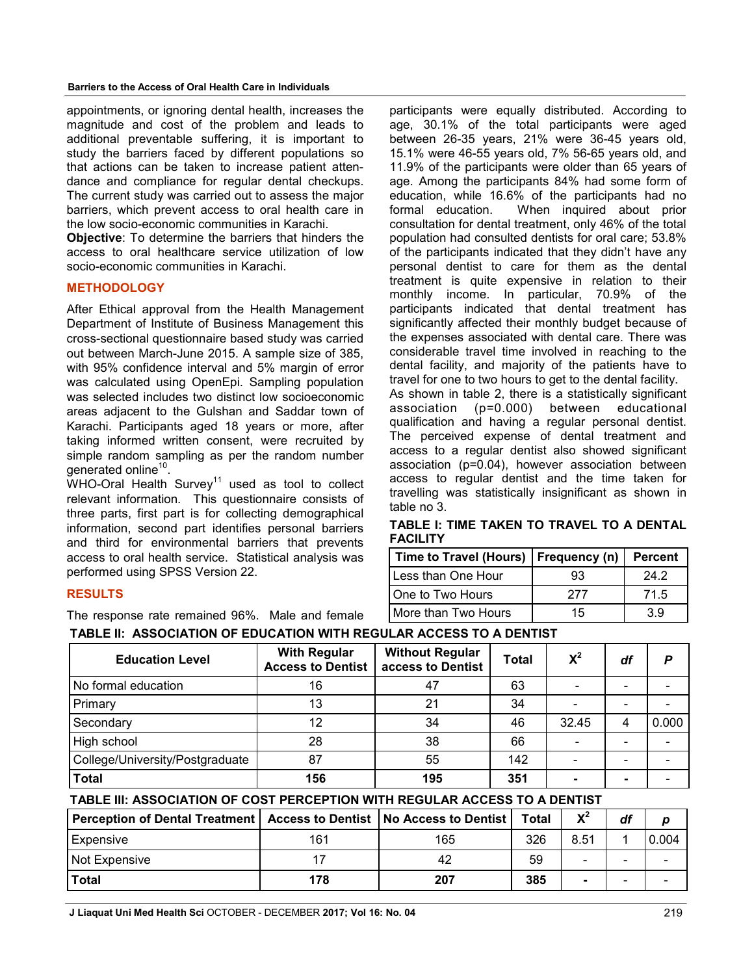#### **Barriers to the Access of Oral Health Care in Individuals**

appointments, or ignoring dental health, increases the magnitude and cost of the problem and leads to additional preventable suffering, it is important to study the barriers faced by different populations so that actions can be taken to increase patient attendance and compliance for regular dental checkups. The current study was carried out to assess the major barriers, which prevent access to oral health care in the low socio-economic communities in Karachi.

**Objective**: To determine the barriers that hinders the access to oral healthcare service utilization of low socio-economic communities in Karachi.

#### **METHODOLOGY**

After Ethical approval from the Health Management Department of Institute of Business Management this cross-sectional questionnaire based study was carried out between March-June 2015. A sample size of 385, with 95% confidence interval and 5% margin of error was calculated using OpenEpi. Sampling population was selected includes two distinct low socioeconomic areas adjacent to the Gulshan and Saddar town of Karachi. Participants aged 18 years or more, after taking informed written consent, were recruited by simple random sampling as per the random number generated online<sup>10</sup>.

 $WHO-Oral$  Health Survey<sup>11</sup> used as tool to collect relevant information. This questionnaire consists of three parts, first part is for collecting demographical information, second part identifies personal barriers and third for environmental barriers that prevents access to oral health service. Statistical analysis was performed using SPSS Version 22.

#### **RESULTS**

The response rate remained 96%. Male and female

participants were equally distributed. According to age, 30.1% of the total participants were aged between 26-35 years, 21% were 36-45 years old, 15.1% were 46-55 years old, 7% 56-65 years old, and 11.9% of the participants were older than 65 years of age. Among the participants 84% had some form of education, while 16.6% of the participants had no formal education. When inquired about prior consultation for dental treatment, only 46% of the total population had consulted dentists for oral care; 53.8% of the participants indicated that they didn't have any personal dentist to care for them as the dental treatment is quite expensive in relation to their monthly income. In particular, 70.9% of the participants indicated that dental treatment has significantly affected their monthly budget because of the expenses associated with dental care. There was considerable travel time involved in reaching to the dental facility, and majority of the patients have to travel for one to two hours to get to the dental facility.

As shown in table 2, there is a statistically significant association (p=0.000) between educational qualification and having a regular personal dentist. The perceived expense of dental treatment and access to a regular dentist also showed significant association (p=0.04), however association between access to regular dentist and the time taken for travelling was statistically insignificant as shown in table no 3.

| TABLE I: TIME TAKEN TO TRAVEL TO A DENTAL |  |
|-------------------------------------------|--|
| FACILITY                                  |  |

| Time to Travel (Hours)   Frequency (n) |     | <b>Percent</b> |
|----------------------------------------|-----|----------------|
| Less than One Hour                     | 93  | 24.2           |
| One to Two Hours                       | 277 | 71.5           |
| More than Two Hours                    | 15  | 39             |

|  | TABLE II: ASSOCIATION OF EDUCATION WITH REGULAR ACCESS TO A DENTIST |  |
|--|---------------------------------------------------------------------|--|
|  |                                                                     |  |

| <b>Education Level</b>          | <b>With Regular</b><br><b>Access to Dentist</b> | <b>Without Regular</b><br>access to Dentist | <b>Total</b> | $X^2$ | df | P     |
|---------------------------------|-------------------------------------------------|---------------------------------------------|--------------|-------|----|-------|
| No formal education             | 16                                              | 47                                          | 63           |       |    |       |
| Primary                         | 13                                              | 21                                          | 34           |       |    |       |
| Secondary                       | 12                                              | 34                                          | 46           | 32.45 |    | 0.000 |
| High school                     | 28                                              | 38                                          | 66           |       |    |       |
| College/University/Postgraduate | 87                                              | 55                                          | 142          |       |    |       |
| <b>Total</b>                    | 156                                             | 195                                         | 351          |       |    |       |

### **TABLE III: ASSOCIATION OF COST PERCEPTION WITH REGULAR ACCESS TO A DENTIST**

| Perception of Dental Treatment   Access to Dentist   No Access to Dentist |     |     | Total | $\mathbf{v}^2$ | df |       |
|---------------------------------------------------------------------------|-----|-----|-------|----------------|----|-------|
| Expensive                                                                 | 161 | 165 | 326   | 8.51           |    | 0.004 |
| Not Expensive                                                             |     | 42  | 59    |                |    |       |
| <b>Total</b>                                                              | 178 | 207 | 385   |                |    |       |

**J Liaquat Uni Med Health Sci** OCTOBER - DECEMBER **2017; Vol 16: No. 04**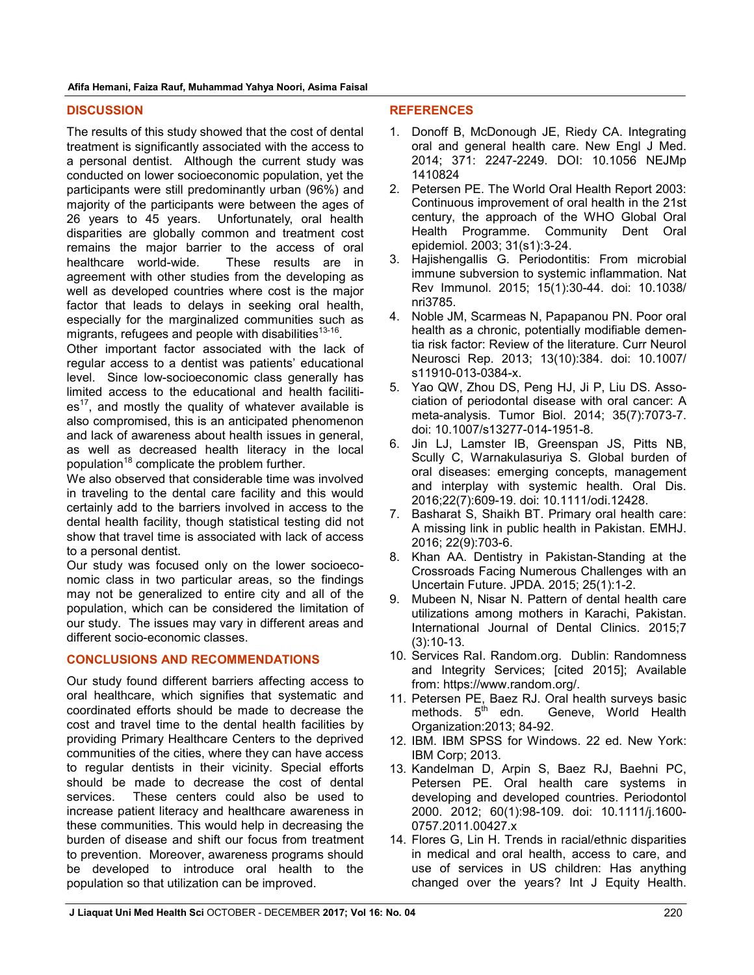#### **DISCUSSION**

The results of this study showed that the cost of dental treatment is significantly associated with the access to a personal dentist. Although the current study was conducted on lower socioeconomic population, yet the participants were still predominantly urban (96%) and majority of the participants were between the ages of 26 years to 45 years. Unfortunately, oral health disparities are globally common and treatment cost remains the major barrier to the access of oral healthcare world-wide. These results are in agreement with other studies from the developing as well as developed countries where cost is the major factor that leads to delays in seeking oral health, especially for the marginalized communities such as migrants, refugees and people with disabilities<sup>13-16</sup>.

Other important factor associated with the lack of regular access to a dentist was patients' educational level. Since low-socioeconomic class generally has limited access to the educational and health faciliti $es<sup>17</sup>$ , and mostly the quality of whatever available is also compromised, this is an anticipated phenomenon and lack of awareness about health issues in general, as well as decreased health literacy in the local population<sup>18</sup> complicate the problem further.

We also observed that considerable time was involved in traveling to the dental care facility and this would certainly add to the barriers involved in access to the dental health facility, though statistical testing did not show that travel time is associated with lack of access to a personal dentist.

Our study was focused only on the lower socioeconomic class in two particular areas, so the findings may not be generalized to entire city and all of the population, which can be considered the limitation of our study. The issues may vary in different areas and different socio-economic classes.

### **CONCLUSIONS AND RECOMMENDATIONS**

Our study found different barriers affecting access to oral healthcare, which signifies that systematic and coordinated efforts should be made to decrease the cost and travel time to the dental health facilities by providing Primary Healthcare Centers to the deprived communities of the cities, where they can have access to regular dentists in their vicinity. Special efforts should be made to decrease the cost of dental services. These centers could also be used to increase patient literacy and healthcare awareness in these communities. This would help in decreasing the burden of disease and shift our focus from treatment to prevention. Moreover, awareness programs should be developed to introduce oral health to the population so that utilization can be improved.

#### **REFERENCES**

- 1. Donoff B, McDonough JE, Riedy CA. Integrating oral and general health care. New Engl J Med. 2014; 371: 2247-2249. DOI: 10.1056 NEJMp 1410824
- 2. Petersen PE. The World Oral Health Report 2003: Continuous improvement of oral health in the 21st century, the approach of the WHO Global Oral Health Programme. Community Dent Oral epidemiol. 2003; 31(s1):3-24.
- 3. Hajishengallis G. Periodontitis: From microbial immune subversion to systemic inflammation. Nat Rev Immunol. 2015; 15(1):30-44. doi: 10.1038/ nri3785.
- 4. Noble JM, Scarmeas N, Papapanou PN. Poor oral health as a chronic, potentially modifiable dementia risk factor: Review of the literature. Curr Neurol Neurosci Rep. 2013; 13(10):384. doi: 10.1007/ s11910-013-0384-x.
- 5. Yao QW, Zhou DS, Peng HJ, Ji P, Liu DS. Association of periodontal disease with oral cancer: A meta-analysis. Tumor Biol. 2014; 35(7):7073-7. doi: 10.1007/s13277-014-1951-8.
- 6. Jin LJ, Lamster IB, Greenspan JS, Pitts NB, Scully C, Warnakulasuriya S. Global burden of oral diseases: emerging concepts, management and interplay with systemic health. Oral Dis. 2016;22(7):609-19. doi: 10.1111/odi.12428.
- 7. Basharat S, Shaikh BT. Primary oral health care: A missing link in public health in Pakistan. EMHJ. 2016; 22(9):703-6.
- 8. Khan AA. Dentistry in Pakistan-Standing at the Crossroads Facing Numerous Challenges with an Uncertain Future. JPDA. 2015; 25(1):1-2.
- 9. Mubeen N, Nisar N. Pattern of dental health care utilizations among mothers in Karachi, Pakistan. International Journal of Dental Clinics. 2015;7 (3):10-13.
- 10. Services RaI. Random.org. Dublin: Randomness and Integrity Services; [cited 2015]; Available from: https://www.random.org/.
- 11. Petersen PE, Baez RJ. Oral health surveys basic<br>methods.  $5<sup>th</sup>$  edn. Geneve. World Health Geneve, World Health Organization:2013; 84-92.
- 12. IBM. IBM SPSS for Windows. 22 ed. New York: IBM Corp; 2013.
- 13. Kandelman D, Arpin S, Baez RJ, Baehni PC, Petersen PE. Oral health care systems in developing and developed countries. Periodontol 2000. 2012; 60(1):98-109. doi: 10.1111/j.1600- 0757.2011.00427.x
- 14. Flores G, Lin H. Trends in racial/ethnic disparities in medical and oral health, access to care, and use of services in US children: Has anything changed over the years? Int J Equity Health.